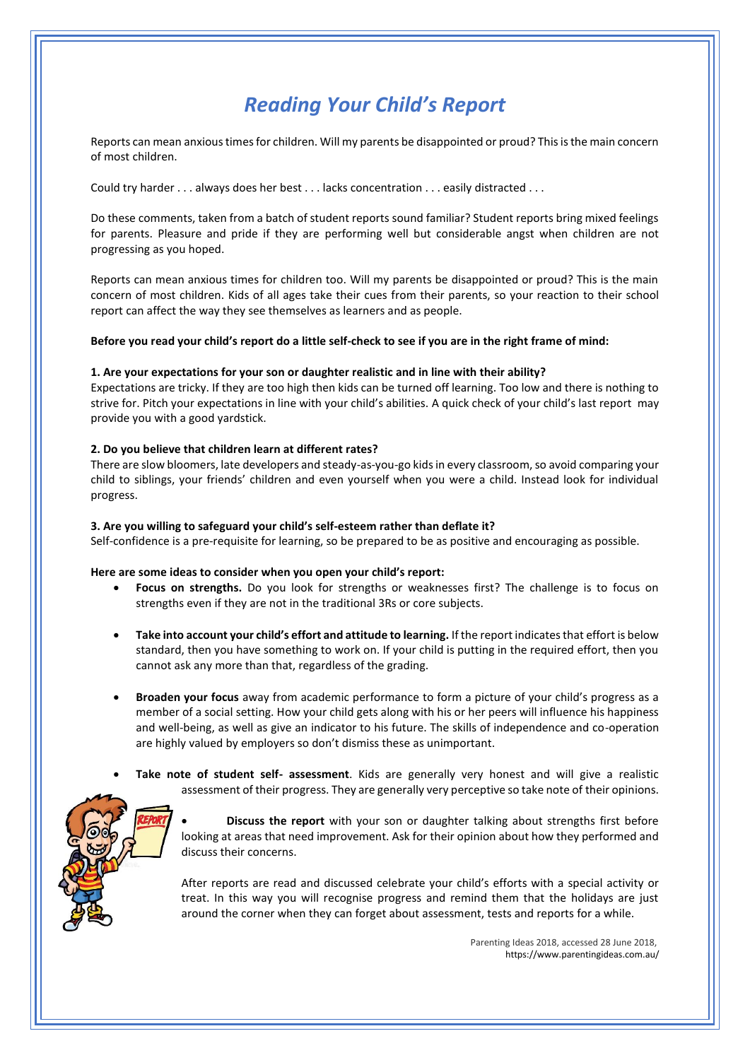# *Reading Your Child's Report*

Reports can mean anxious times for children. Will my parents be disappointed or proud? This is the main concern of most children.

Could try harder . . . always does her best . . . lacks concentration . . . easily distracted . . .

Do these comments, taken from a batch of student reports sound familiar? Student reports bring mixed feelings for parents. Pleasure and pride if they are performing well but considerable angst when children are not progressing as you hoped.

Reports can mean anxious times for children too. Will my parents be disappointed or proud? This is the main concern of most children. Kids of all ages take their cues from their parents, so your reaction to their school report can affect the way they see themselves as learners and as people.

## **Before you read your child's report do a little self-check to see if you are in the right frame of mind:**

## **1. Are your expectations for your son or daughter realistic and in line with their ability?**

Expectations are tricky. If they are too high then kids can be turned off learning. Too low and there is nothing to strive for. Pitch your expectations in line with your child's abilities. A quick check of your child's last report may provide you with a good yardstick.

## **2. Do you believe that children learn at different rates?**

There are slow bloomers, late developers and steady-as-you-go kids in every classroom, so avoid comparing your child to siblings, your friends' children and even yourself when you were a child. Instead look for individual progress.

#### **3. Are you willing to safeguard your child's self-esteem rather than deflate it?**

Self-confidence is a pre-requisite for learning, so be prepared to be as positive and encouraging as possible.

#### **Here are some ideas to consider when you open your child's report:**

- **Focus on strengths.** Do you look for strengths or weaknesses first? The challenge is to focus on strengths even if they are not in the traditional 3Rs or core subjects.
- **Take into account your child's effort and attitude to learning.** If the report indicates that effort is below standard, then you have something to work on. If your child is putting in the required effort, then you cannot ask any more than that, regardless of the grading.
- **Broaden your focus** away from academic performance to form a picture of your child's progress as a member of a social setting. How your child gets along with his or her peers will influence his happiness and well-being, as well as give an indicator to his future. The skills of independence and co-operation are highly valued by employers so don't dismiss these as unimportant.
- **Take note of student self- assessment**. Kids are generally very honest and will give a realistic assessment of their progress. They are generally very perceptive so take note of their opinions.



• **Discuss the report** with your son or daughter talking about strengths first before looking at areas that need improvement. Ask for their opinion about how they performed and discuss their concerns.

After reports are read and discussed celebrate your child's efforts with a special activity or treat. In this way you will recognise progress and remind them that the holidays are just around the corner when they can forget about assessment, tests and reports for a while.

> Parenting Ideas 2018, accessed 28 June 2018, https://www.parentingideas.com.au/